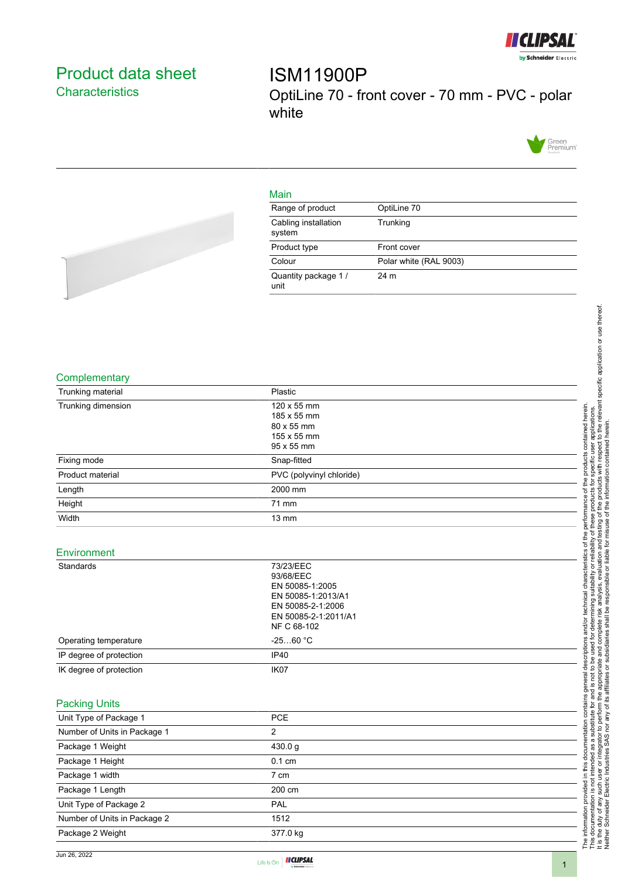

# <span id="page-0-0"></span>Product data sheet **Characteristics**

ISM11900P OptiLine 70 - front cover - 70 mm - PVC - polar white



# Main

| Range of product               | OptiLine 70            |
|--------------------------------|------------------------|
| Cabling installation<br>system | Trunking               |
| Product type                   | Front cover            |
| Colour                         | Polar white (RAL 9003) |
| Quantity package 1/<br>unit    | 24 m                   |



## **Complementary**

| Trunking material  | Plastic                  |  |
|--------------------|--------------------------|--|
| Trunking dimension | 120 x 55 mm              |  |
|                    | 185 x 55 mm              |  |
|                    | 80 x 55 mm               |  |
|                    | 155 x 55 mm              |  |
|                    | 95 x 55 mm               |  |
| Fixing mode        | Snap-fitted              |  |
| Product material   | PVC (polyvinyl chloride) |  |
| Length             | 2000 mm                  |  |
| Height             | 71 mm                    |  |
| Width              | $13 \text{ mm}$          |  |

#### Environment

| Standards               | 73/23/EEC<br>93/68/EEC<br>EN 50085-1:2005<br>EN 50085-1:2013/A1<br>EN 50085-2-1:2006<br>EN 50085-2-1:2011/A1<br>NF C 68-102 |  |
|-------------------------|-----------------------------------------------------------------------------------------------------------------------------|--|
| Operating temperature   | $-2560 °C$                                                                                                                  |  |
| IP degree of protection | IP <sub>40</sub>                                                                                                            |  |
| IK degree of protection | IK <sub>07</sub>                                                                                                            |  |
|                         |                                                                                                                             |  |

# Packing Units

| Unit Type of Package 1       | <b>PCE</b>       |  |
|------------------------------|------------------|--|
| Number of Units in Package 1 | 2                |  |
| Package 1 Weight             | 430.0 g          |  |
| Package 1 Height             | $0.1 \text{ cm}$ |  |
| Package 1 width              | 7 cm             |  |
| Package 1 Length             | 200 cm           |  |
| Unit Type of Package 2       | <b>PAL</b>       |  |
| Number of Units in Package 2 | 1512             |  |
| Package 2 Weight             | 377.0 kg         |  |



The information provided in this documentation contains general descriptions and/or technical characteristics of the performance of the products contained herein. This documentation is not intended as a substitute for and is not to be used for determining suitability or reliability of these products for specific user applications. It is the duty of any such user or integrator to perform the appropriate and complete risk analysis, evaluation and testing of the products with respect to the relevant specific application or use thereof.

The information provided in this documentation contains general descriptions and/or technical characteristics of the performance of the products contained herein.<br>This documentation is not intended as a substitute for and

Neither Schneider Electric Industries SAS nor any of its affiliates or subsidiaries shall be responsible or liable for misuse of the information contained herein.